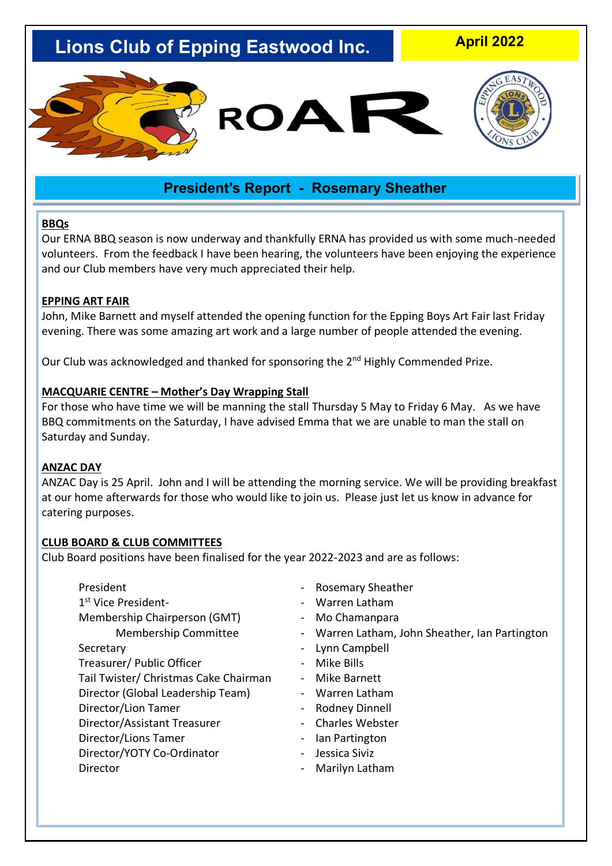# **Lions Club of Epping Eastwood Inc.**

**April 2022**



# **President's Report - Rosemary Sheather**

#### **BBQs**

Our ERNA BBQ season is now underway and thankfully ERNA has provided us with some much-needed volunteers. From the feedback I have been hearing, the volunteers have been enjoying the experience and our Club members have very much appreciated their help.

#### **EPPING ART FAIR**

John, Mike Barnett and myself attended the opening function for the Epping Boys Art Fair last Friday evening. There was some amazing art work and a large number of people attended the evening.

Our Club was acknowledged and thanked for sponsoring the 2<sup>nd</sup> Highly Commended Prize.

#### **MACQUARIE CENTRE – Mother's Day Wrapping Stall**

For those who have time we will be manning the stall Thursday 5 May to Friday 6 May. As we have BBQ commitments on the Saturday, I have advised Emma that we are unable to man the stall on Saturday and Sunday.

#### **ANZAC DAY**

ANZAC Day is 25 April. John and I will be attending the morning service. We will be providing breakfast at our home afterwards for those who would like to join us. Please just let us know in advance for catering purposes.

#### **CLUB BOARD & CLUB COMMITTEES**

Club Board positions have been finalised for the year 2022-2023 and are as follows:

| President                             |
|---------------------------------------|
|                                       |
| 1 <sup>st</sup> Vice President-       |
| Membership Chairperson (GMT)          |
| <b>Membership Committee</b>           |
| Secretary                             |
| Treasurer/ Public Officer             |
| Tail Twister/ Christmas Cake Chairman |
| Director (Global Leadership Team)     |
| Director/Lion Tamer                   |
| Director/Assistant Treasurer          |
| Director/Lions Tamer                  |
| Director/YOTY Co-Ordinator            |
| Director                              |

- Rosemary Sheather
- Warren Latham
- Mo Chamanpara
- Warren Latham, John Sheather, Ian Partington
- Lynn Campbell
- Mike Bills
- Mike Barnett
- Warren Latham
- Rodney Dinnell
- Charles Webster
- Ian Partington
- Jessica Siviz
- Marilyn Latham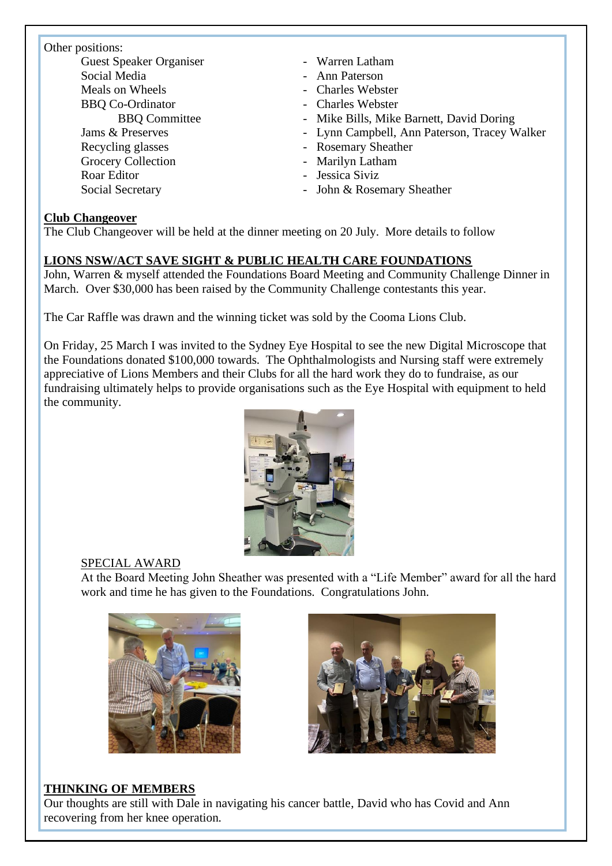#### Other positions:

Guest Speaker Organiser - Warren Latham Social Media **- Ann Paterson** Meals on Wheels **- Charles Webster** BBQ Co-Ordinator - Charles Webster Recycling glasses - Rosemary Sheather Grocery Collection - Marilyn Latham Roar Editor - Jessica Siviz

- 
- 
- 
- 
- BBO Committee Mike Bills, Mike Barnett, David Doring
- Jams & Preserves  **Lynn Campbell, Ann Paterson, Tracey Walker** 
	-
	-
	-
- Social Secretary John & Rosemary Sheather

### **Club Changeover**

The Club Changeover will be held at the dinner meeting on 20 July. More details to follow

### **LIONS NSW/ACT SAVE SIGHT & PUBLIC HEALTH CARE FOUNDATIONS**

John, Warren & myself attended the Foundations Board Meeting and Community Challenge Dinner in March. Over \$30,000 has been raised by the Community Challenge contestants this year.

The Car Raffle was drawn and the winning ticket was sold by the Cooma Lions Club.

On Friday, 25 March I was invited to the Sydney Eye Hospital to see the new Digital Microscope that the Foundations donated \$100,000 towards. The Ophthalmologists and Nursing staff were extremely appreciative of Lions Members and their Clubs for all the hard work they do to fundraise, as our fundraising ultimately helps to provide organisations such as the Eye Hospital with equipment to held the community.



### SPECIAL AWARD

At the Board Meeting John Sheather was presented with a "Life Member" award for all the hard work and time he has given to the Foundations. Congratulations John.





### **THINKING OF MEMBERS**

Our thoughts are still with Dale in navigating his cancer battle, David who has Covid and Ann recovering from her knee operation.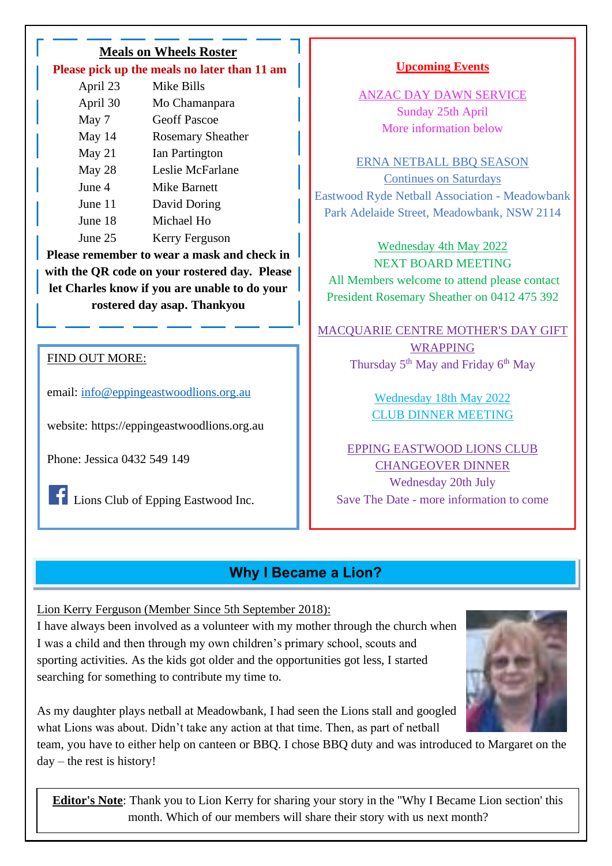| <b>Meals on Wheels Roster</b>                |                          |  |
|----------------------------------------------|--------------------------|--|
| Please pick up the meals no later than 11 am |                          |  |
| April 23                                     | Mike Bills               |  |
| April 30                                     | Mo Chamanpara            |  |
| May 7                                        | <b>Geoff Pascoe</b>      |  |
| May 14                                       | <b>Rosemary Sheather</b> |  |
| May 21                                       | Ian Partington           |  |
| May 28                                       | Leslie McFarlane         |  |
| June 4                                       | <b>Mike Barnett</b>      |  |
| June 11                                      | David Doring             |  |
| June 18                                      | Michael Ho               |  |
| June 25                                      | Kerry Ferguson           |  |
| Please remember to wear a mask and check in  |                          |  |
| $\sim$ $\sim$ $\sim$                         |                          |  |

**with the QR code on your rostered day. Please let Charles know if you are unable to do your rostered day asap. Thankyou**

### FIND OUT MORE:

email: [info@eppingeastwoodlions.org.au](mailto:info@eppingeastwoodlions.org.au)

website: https://eppingeastwoodlions.org.au

Phone: Jessica 0432 549 149

**Lions Club of Epping Eastwood Inc.** 

### **Upcoming Events**

ANZAC DAY DAWN SERVICE Sunday 25th April More information below

ERNA NETBALL BBQ SEASON Continues on Saturdays Eastwood Ryde Netball Association - Meadowbank Park Adelaide Street, Meadowbank, NSW 2114

Wednesday 4th May 2022 NEXT BOARD MEETING All Members welcome to attend please contact President Rosemary Sheather on 0412 475 392

MACQUARIE CENTRE MOTHER'S DAY GIFT WRAPPING Thursday  $5<sup>th</sup>$  May and Friday  $6<sup>th</sup>$  May

> Wednesday 18th May 2022 CLUB DINNER MEETING

EPPING EASTWOOD LIONS CLUB CHANGEOVER DINNER Wednesday 20th July Save The Date - more information to come

# **Why I Became a Lion?**

Lion Kerry Ferguson (Member Since 5th September 2018):

I have always been involved as a volunteer with my mother through the church when I was a child and then through my own children's primary school, scouts and sporting activities. As the kids got older and the opportunities got less, I started searching for something to contribute my time to.



As my daughter plays netball at Meadowbank, I had seen the Lions stall and googled what Lions was about. Didn't take any action at that time. Then, as part of netball

team, you have to either help on canteen or BBQ. I chose BBQ duty and was introduced to Margaret on the day – the rest is history!

**Editor's Note**: Thank you to Lion Kerry for sharing your story in the ''Why I Became Lion section' this month. Which of our members will share their story with us next month?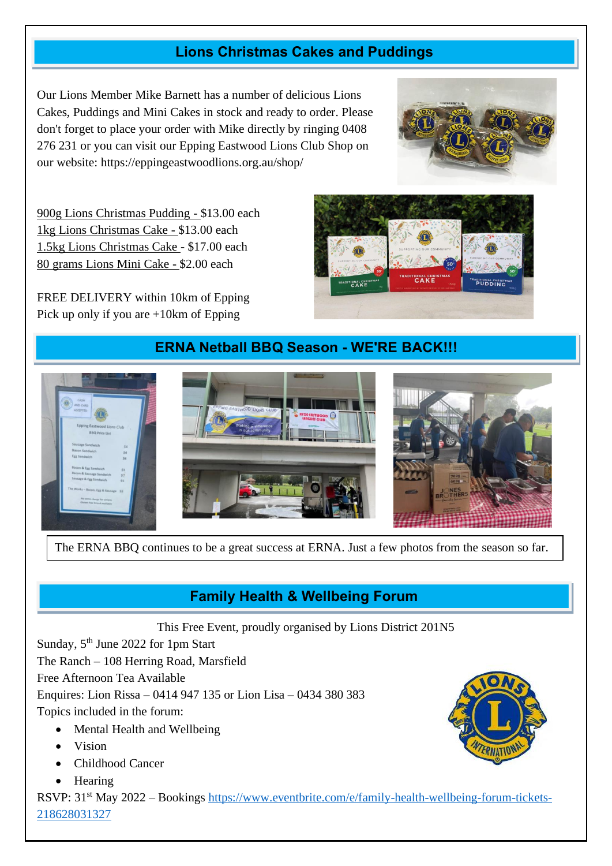# **Lions Christmas Cakes and Puddings**

Our Lions Member Mike Barnett has a number of delicious Lions Cakes, Puddings and Mini Cakes in stock and ready to order. Please don't forget to place your order with Mike directly by ringing 0408 276 231 or you can visit our Epping Eastwood Lions Club Shop on our website: https://eppingeastwoodlions.org.au/shop/



**DITIONAL CHRIST** 

900g Lions Christmas Pudding - \$13.00 each 1kg Lions Christmas Cake - \$13.00 each 1.5kg Lions Christmas Cake - \$17.00 each 80 grams Lions Mini Cake - \$2.00 each

FREE DELIVERY within 10km of Epping Pick up only if you are +10km of Epping

# **ERNA Netball BBQ Season - WE'RE BACK!!!**



The ERNA BBQ continues to be a great success at ERNA. Just a few photos from the season so far.

# **Family Health & Wellbeing Forum**

This Free Event, proudly organised by Lions District 201N5

Sunday, 5<sup>th</sup> June 2022 for 1pm Start

The Ranch – 108 Herring Road, Marsfield

Free Afternoon Tea Available

Enquires: Lion Rissa – 0414 947 135 or Lion Lisa – 0434 380 383

Topics included in the forum:

- Mental Health and Wellbeing
- Vision
- Childhood Cancer
- Hearing

RSVP: 31st May 2022 – Bookings [https://www.eventbrite.com/e/family-health-wellbeing-forum-tickets-](https://www.eventbrite.com/e/family-health-wellbeing-forum-tickets-218628031327)[218628031327](https://www.eventbrite.com/e/family-health-wellbeing-forum-tickets-218628031327)